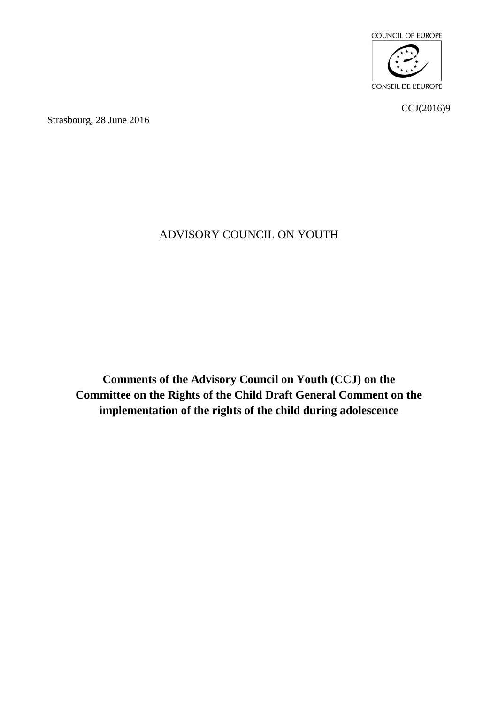

CCJ(2016)9

Strasbourg, 28 June 2016

# ADVISORY COUNCIL ON YOUTH

**Comments of the Advisory Council on Youth (CCJ) on the Committee on the Rights of the Child Draft General Comment on the implementation of the rights of the child during adolescence**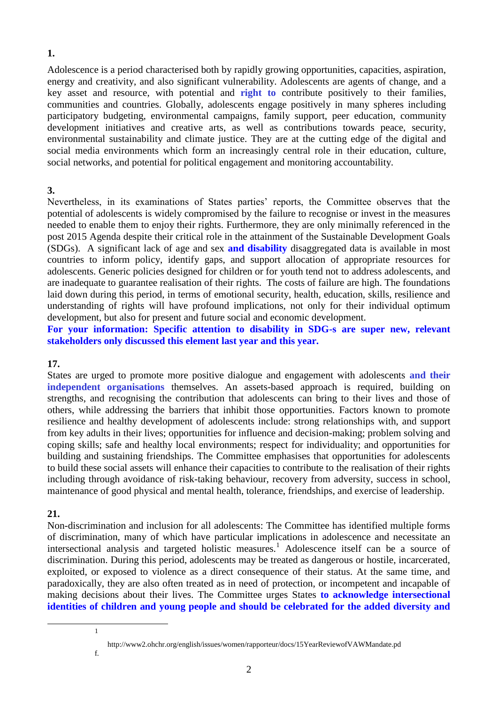## **1.**

Adolescence is a period characterised both by rapidly growing opportunities, capacities, aspiration, energy and creativity, and also significant vulnerability. Adolescents are agents of change, and a key asset and resource, with potential and **right to** contribute positively to their families, communities and countries. Globally, adolescents engage positively in many spheres including participatory budgeting, environmental campaigns, family support, peer education, community development initiatives and creative arts, as well as contributions towards peace, security, environmental sustainability and climate justice. They are at the cutting edge of the digital and social media environments which form an increasingly central role in their education, culture, social networks, and potential for political engagement and monitoring accountability.

## **3.**

Nevertheless, in its examinations of States parties' reports, the Committee observes that the potential of adolescents is widely compromised by the failure to recognise or invest in the measures needed to enable them to enjoy their rights. Furthermore, they are only minimally referenced in the post 2015 Agenda despite their critical role in the attainment of the Sustainable Development Goals (SDGs). A significant lack of age and sex **and disability** disaggregated data is available in most countries to inform policy, identify gaps, and support allocation of appropriate resources for adolescents. Generic policies designed for children or for youth tend not to address adolescents, and are inadequate to guarantee realisation of their rights. The costs of failure are high. The foundations laid down during this period, in terms of emotional security, health, education, skills, resilience and understanding of rights will have profound implications, not only for their individual optimum development, but also for present and future social and economic development.

**For your information: Specific attention to disability in SDG-s are super new, relevant stakeholders only discussed this element last year and this year.** 

## **17.**

States are urged to promote more positive dialogue and engagement with adolescents **and their independent organisations** themselves. An assets-based approach is required, building on strengths, and recognising the contribution that adolescents can bring to their lives and those of others, while addressing the barriers that inhibit those opportunities. Factors known to promote resilience and healthy development of adolescents include: strong relationships with, and support from key adults in their lives; opportunities for influence and decision-making; problem solving and coping skills; safe and healthy local environments; respect for individuality; and opportunities for building and sustaining friendships. The Committee emphasises that opportunities for adolescents to build these social assets will enhance their capacities to contribute to the realisation of their rights including through avoidance of risk-taking behaviour, recovery from adversity, success in school, maintenance of good physical and mental health, tolerance, friendships, and exercise of leadership.

## **21.**

<u>.</u>

Non-discrimination and inclusion for all adolescents: The Committee has identified multiple forms of discrimination, many of which have particular implications in adolescence and necessitate an intersectional analysis and targeted holistic measures.<sup>1</sup> Adolescence itself can be a source of discrimination. During this period, adolescents may be treated as dangerous or hostile, incarcerated, exploited, or exposed to violence as a direct consequence of their status. At the same time, and paradoxically, they are also often treated as in need of protection, or incompetent and incapable of making decisions about their lives. The Committee urges States **to acknowledge intersectional identities of children and young people and should be celebrated for the added diversity and** 

1

[f.](http://www2.ohchr.org/english/issues/women/rapporteur/docs/15YearReviewofVAWMandate.pdf)

[http://www2.ohchr.org/english/issues/women/rapporteur/docs/15YearReviewofVAWMandate.pd](http://www2.ohchr.org/english/issues/women/rapporteur/docs/15YearReviewofVAWMandate.pdf)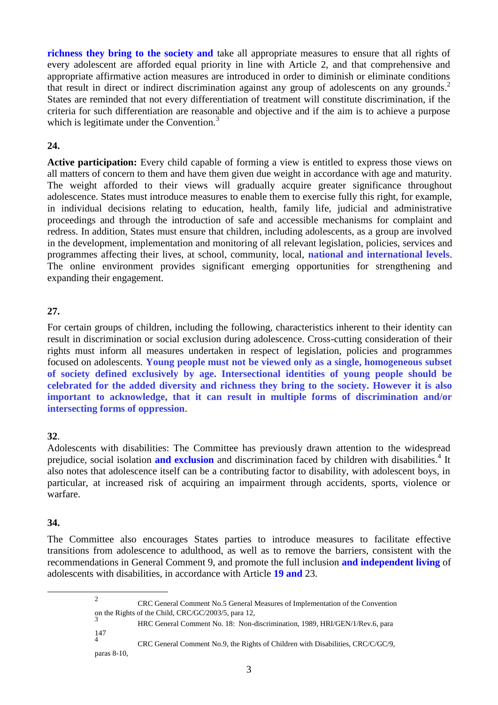**richness they bring to the society and** take all appropriate measures to ensure that all rights of every adolescent are afforded equal priority in line with Article 2, and that comprehensive and appropriate affirmative action measures are introduced in order to diminish or eliminate conditions that result in direct or indirect discrimination against any group of adolescents on any grounds.<sup>2</sup> States are reminded that not every differentiation of treatment will constitute discrimination, if the criteria for such differentiation are reasonable and objective and if the aim is to achieve a purpose which is legitimate under the Convention. $3$ 

## **24.**

**Active participation:** Every child capable of forming a view is entitled to express those views on all matters of concern to them and have them given due weight in accordance with age and maturity. The weight afforded to their views will gradually acquire greater significance throughout adolescence. States must introduce measures to enable them to exercise fully this right, for example, in individual decisions relating to education, health, family life, judicial and administrative proceedings and through the introduction of safe and accessible mechanisms for complaint and redress. In addition, States must ensure that children, including adolescents, as a group are involved in the development, implementation and monitoring of all relevant legislation, policies, services and programmes affecting their lives, at school, community, local, **national and international levels**. The online environment provides significant emerging opportunities for strengthening and expanding their engagement.

## **27.**

For certain groups of children, including the following, characteristics inherent to their identity can result in discrimination or social exclusion during adolescence. Cross-cutting consideration of their rights must inform all measures undertaken in respect of legislation, policies and programmes focused on adolescents. **Young people must not be viewed only as a single, homogeneous subset of society defined exclusively by age. Intersectional identities of young people should be celebrated for the added diversity and richness they bring to the society. However it is also important to acknowledge, that it can result in multiple forms of discrimination and/or intersecting forms of oppression**.

## **32**.

Adolescents with disabilities: The Committee has previously drawn attention to the widespread prejudice, social isolation **and exclusion** and discrimination faced by children with disabilities.<sup>4</sup> It also notes that adolescence itself can be a contributing factor to disability, with adolescent boys, in particular, at increased risk of acquiring an impairment through accidents, sports, violence or warfare.

### **34.**

<u>.</u>

The Committee also encourages States parties to introduce measures to facilitate effective transitions from adolescence to adulthood, as well as to remove the barriers, consistent with the recommendations in General Comment 9, and promote the full inclusion **and independent living** of adolescents with disabilities, in accordance with Article **19 and** 23.

> 2 CRC General Comment No.5 General Measures of Implementation of the Convention on the Rights of the Child, CRC/GC/2003/5, para 12,

3 147

 $\tilde{A}$ 

HRC General Comment No. 18: Non-discrimination, 1989, HRI/GEN/1/Rev.6, para CRC General Comment No.9, the Rights of Children with Disabilities, CRC/C/GC/9,

paras 8-10,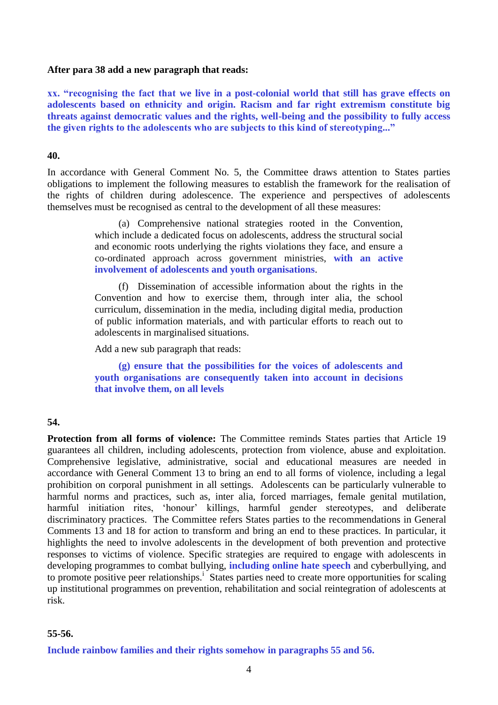### **After para 38 add a new paragraph that reads:**

**xx. "recognising the fact that we live in a post-colonial world that still has grave effects on adolescents based on ethnicity and origin. Racism and far right extremism constitute big threats against democratic values and the rights, well-being and the possibility to fully access the given rights to the adolescents who are subjects to this kind of stereotyping..."**

### **40.**

In accordance with General Comment No. 5, the Committee draws attention to States parties obligations to implement the following measures to establish the framework for the realisation of the rights of children during adolescence. The experience and perspectives of adolescents themselves must be recognised as central to the development of all these measures:

> (a) Comprehensive national strategies rooted in the Convention, which include a dedicated focus on adolescents, address the structural social and economic roots underlying the rights violations they face, and ensure a co-ordinated approach across government ministries, **with an active involvement of adolescents and youth organisations**.

> (f) Dissemination of accessible information about the rights in the Convention and how to exercise them, through inter alia, the school curriculum, dissemination in the media, including digital media, production of public information materials, and with particular efforts to reach out to adolescents in marginalised situations.

Add a new sub paragraph that reads:

**(g) ensure that the possibilities for the voices of adolescents and youth organisations are consequently taken into account in decisions that involve them, on all levels**

### **54.**

**Protection from all forms of violence:** The Committee reminds States parties that Article 19 guarantees all children, including adolescents, protection from violence, abuse and exploitation. Comprehensive legislative, administrative, social and educational measures are needed in accordance with General Comment 13 to bring an end to all forms of violence, including a legal prohibition on corporal punishment in all settings. Adolescents can be particularly vulnerable to harmful norms and practices, such as, inter alia, forced marriages, female genital mutilation, harmful initiation rites, 'honour' killings, harmful gender stereotypes, and deliberate discriminatory practices. The Committee refers States parties to the recommendations in General Comments 13 and 18 for action to transform and bring an end to these practices. In particular, it highlights the need to involve adolescents in the development of both prevention and protective responses to victims of violence. Specific strategies are required to engage with adolescents in developing programmes to combat bullying, **including online hate speech** and cyberbullying, and to promote positive peer relationships.<sup>1</sup> States parties need to create more opportunities for scaling up institutional programmes on prevention, rehabilitation and social reintegration of adolescents at risk.

#### **55-56.**

**Include rainbow families and their rights somehow in paragraphs 55 and 56.**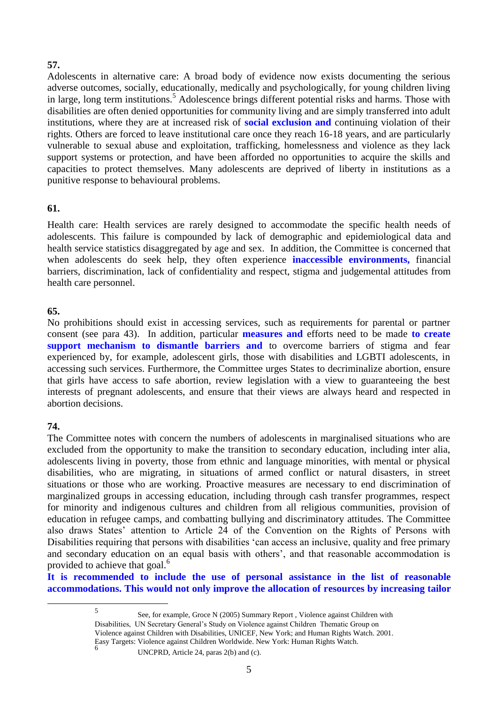## **57.**

Adolescents in alternative care: A broad body of evidence now exists documenting the serious adverse outcomes, socially, educationally, medically and psychologically, for young children living in large, long term institutions.<sup>5</sup> Adolescence brings different potential risks and harms. Those with disabilities are often denied opportunities for community living and are simply transferred into adult institutions, where they are at increased risk of **social exclusion and** continuing violation of their rights. Others are forced to leave institutional care once they reach 16-18 years, and are particularly vulnerable to sexual abuse and exploitation, trafficking, homelessness and violence as they lack support systems or protection, and have been afforded no opportunities to acquire the skills and capacities to protect themselves. Many adolescents are deprived of liberty in institutions as a punitive response to behavioural problems.

## **61.**

Health care: Health services are rarely designed to accommodate the specific health needs of adolescents. This failure is compounded by lack of demographic and epidemiological data and health service statistics disaggregated by age and sex. In addition, the Committee is concerned that when adolescents do seek help, they often experience **inaccessible environments,** financial barriers, discrimination, lack of confidentiality and respect, stigma and judgemental attitudes from health care personnel.

## **65.**

No prohibitions should exist in accessing services, such as requirements for parental or partner consent (see para 43). In addition, particular **measures and** efforts need to be made **to create support mechanism to dismantle barriers and** to overcome barriers of stigma and fear experienced by, for example, adolescent girls, those with disabilities and LGBTI adolescents, in accessing such services. Furthermore, the Committee urges States to decriminalize abortion, ensure that girls have access to safe abortion, review legislation with a view to guaranteeing the best interests of pregnant adolescents, and ensure that their views are always heard and respected in abortion decisions.

## **74.**

1

The Committee notes with concern the numbers of adolescents in marginalised situations who are excluded from the opportunity to make the transition to secondary education, including inter alia, adolescents living in poverty, those from ethnic and language minorities, with mental or physical disabilities, who are migrating, in situations of armed conflict or natural disasters, in street situations or those who are working. Proactive measures are necessary to end discrimination of marginalized groups in accessing education, including through cash transfer programmes, respect for minority and indigenous cultures and children from all religious communities, provision of education in refugee camps, and combatting bullying and discriminatory attitudes. The Committee also draws States' attention to Article 24 of the Convention on the Rights of Persons with Disabilities requiring that persons with disabilities 'can access an inclusive, quality and free primary and secondary education on an equal basis with others', and that reasonable accommodation is provided to achieve that goal.<sup>6</sup>

**It is recommended to include the use of personal assistance in the list of reasonable accommodations. This would not only improve the allocation of resources by increasing tailor** 

6

<sup>5</sup>

See, for example, Groce N (2005) Summary Report , Violence against Children with Disabilities, UN Secretary General's Study on Violence against Children Thematic Group on Violence against Children with Disabilities, UNICEF, New York; and Human Rights Watch. 2001. Easy Targets: Violence against Children Worldwide. New York: Human Rights Watch.

UNCPRD, Article 24, paras 2(b) and (c).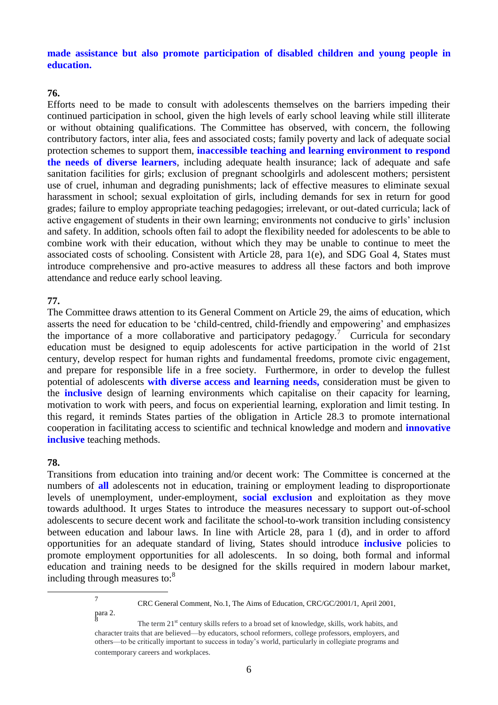**made assistance but also promote participation of disabled children and young people in education.**

### **76.**

Efforts need to be made to consult with adolescents themselves on the barriers impeding their continued participation in school, given the high levels of early school leaving while still illiterate or without obtaining qualifications. The Committee has observed, with concern, the following contributory factors, inter alia, fees and associated costs; family poverty and lack of adequate social protection schemes to support them, **inaccessible teaching and learning environment to respond the needs of diverse learners**, including adequate health insurance; lack of adequate and safe sanitation facilities for girls; exclusion of pregnant schoolgirls and adolescent mothers; persistent use of cruel, inhuman and degrading punishments; lack of effective measures to eliminate sexual harassment in school; sexual exploitation of girls, including demands for sex in return for good grades; failure to employ appropriate teaching pedagogies; irrelevant, or out-dated curricula; lack of active engagement of students in their own learning; environments not conducive to girls' inclusion and safety. In addition, schools often fail to adopt the flexibility needed for adolescents to be able to combine work with their education, without which they may be unable to continue to meet the associated costs of schooling. Consistent with Article 28, para 1(e), and SDG Goal 4, States must introduce comprehensive and pro-active measures to address all these factors and both improve attendance and reduce early school leaving.

#### **77.**

The Committee draws attention to its General Comment on Article 29, the aims of education, which asserts the need for education to be 'child-centred, child-friendly and empowering' and emphasizes the importance of a more collaborative and participatory pedagogy.<sup>7</sup> Curricula for secondary education must be designed to equip adolescents for active participation in the world of 21st century, develop respect for human rights and fundamental freedoms, promote civic engagement, and prepare for responsible life in a free society. Furthermore, in order to develop the fullest potential of adolescents **with diverse access and learning needs,** consideration must be given to the **inclusive** design of learning environments which capitalise on their capacity for learning, motivation to work with peers, and focus on experiential learning, exploration and limit testing. In this regard, it reminds States parties of the obligation in Article 28.3 to promote international cooperation in facilitating access to scientific and technical knowledge and modern and **innovative inclusive** teaching methods.

### **78.**

<u>.</u>

Transitions from education into training and/or decent work: The Committee is concerned at the numbers of **all** adolescents not in education, training or employment leading to disproportionate levels of unemployment, under-employment, **social exclusion** and exploitation as they move towards adulthood. It urges States to introduce the measures necessary to support out-of-school adolescents to secure decent work and facilitate the school-to-work transition including consistency between education and labour laws. In line with Article 28, para 1 (d), and in order to afford opportunities for an adequate standard of living, States should introduce **inclusive** policies to promote employment opportunities for all adolescents. In so doing, both formal and informal education and training needs to be designed for the skills required in modern labour market, including through measures to:<sup>8</sup>

> 7 CRC General Comment, No.1, The Aims of Education, CRC/GC/2001/1, April 2001, para 2. 8

The term 21<sup>st</sup> century skills refers to a broad set of knowledge, skills, work habits, and character traits that are believed—by educators, school reformers, college professors, employers, and others—to be critically important to success in today's world, particularly in collegiate programs and contemporary careers and workplaces.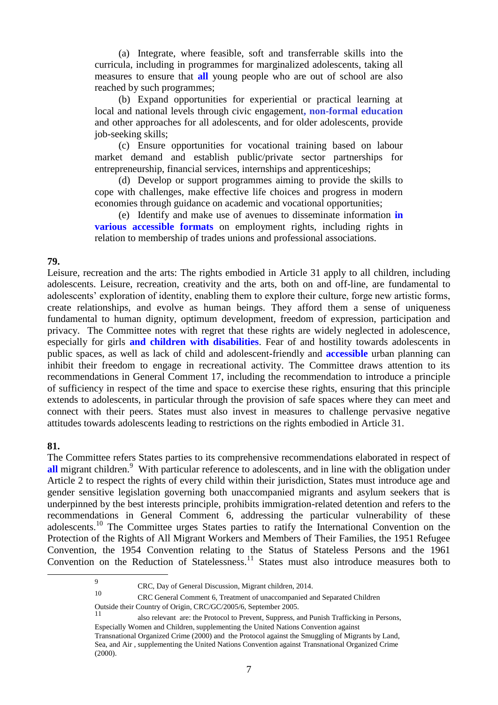(a) Integrate, where feasible, soft and transferrable skills into the curricula, including in programmes for marginalized adolescents, taking all measures to ensure that **all** young people who are out of school are also reached by such programmes;

(b) Expand opportunities for experiential or practical learning at local and national levels through civic engagement**, non-formal education**  and other approaches for all adolescents, and for older adolescents, provide job-seeking skills;

(c) Ensure opportunities for vocational training based on labour market demand and establish public/private sector partnerships for entrepreneurship, financial services, internships and apprenticeships;

(d) Develop or support programmes aiming to provide the skills to cope with challenges, make effective life choices and progress in modern economies through guidance on academic and vocational opportunities;

(e) Identify and make use of avenues to disseminate information **in various accessible formats** on employment rights, including rights in relation to membership of trades unions and professional associations.

### **79.**

Leisure, recreation and the arts: The rights embodied in Article 31 apply to all children, including adolescents. Leisure, recreation, creativity and the arts, both on and off-line, are fundamental to adolescents' exploration of identity, enabling them to explore their culture, forge new artistic forms, create relationships, and evolve as human beings. They afford them a sense of uniqueness fundamental to human dignity, optimum development, freedom of expression, participation and privacy. The Committee notes with regret that these rights are widely neglected in adolescence, especially for girls **and children with disabilities**. Fear of and hostility towards adolescents in public spaces, as well as lack of child and adolescent-friendly and **accessible** urban planning can inhibit their freedom to engage in recreational activity. The Committee draws attention to its recommendations in General Comment 17, including the recommendation to introduce a principle of sufficiency in respect of the time and space to exercise these rights, ensuring that this principle extends to adolescents, in particular through the provision of safe spaces where they can meet and connect with their peers. States must also invest in measures to challenge pervasive negative attitudes towards adolescents leading to restrictions on the rights embodied in Article 31.

### **81.**

1

The Committee refers States parties to its comprehensive recommendations elaborated in respect of all migrant children.<sup>9</sup> With particular reference to adolescents, and in line with the obligation under Article 2 to respect the rights of every child within their jurisdiction, States must introduce age and gender sensitive legislation governing both unaccompanied migrants and asylum seekers that is underpinned by the best interests principle, prohibits immigration-related detention and refers to the recommendations in General Comment 6, addressing the particular vulnerability of these adolescents.<sup>10</sup> The Committee urges States parties to ratify the International Convention on the Protection of the Rights of All Migrant Workers and Members of Their Families, the 1951 Refugee Convention, the 1954 Convention relating to the Status of Stateless Persons and the 1961 Convention on the Reduction of Statelessness.<sup>11</sup> States must also introduce measures both to

<sup>9</sup> CRC, Day of General Discussion, Migrant children, 2014.

<sup>10</sup> CRC General Comment 6, Treatment of unaccompanied and Separated Children

Outside their Country of Origin, CRC/GC/2005/6, September 2005.

also relevant are: the Protocol to Prevent, Suppress, and Punish Trafficking in Persons, Especially Women and Children, supplementing the United Nations Convention against Transnational Organized Crime (2000) and the Protocol against the Smuggling of Migrants by Land, Sea, and Air , supplementing the United Nations Convention against Transnational Organized Crime (2000).